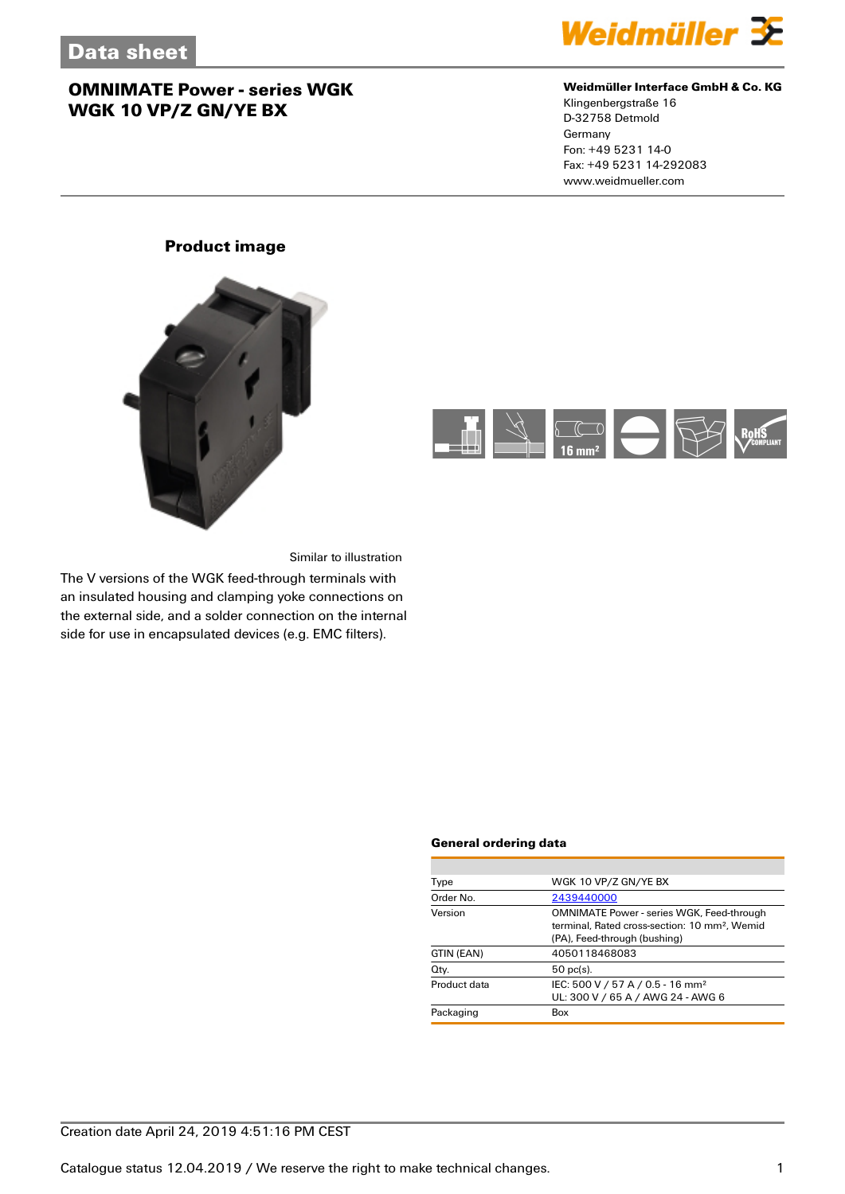

### **Weidmüller Interface GmbH & Co. KG**

Klingenbergstraße 16 D-32758 Detmold Germany Fon: +49 5231 14-0 Fax: +49 5231 14-292083 www.weidmueller.com

## **Product image**





Similar to illustration

The V versions of the WGK feed-through terminals with an insulated housing and clamping yoke connections on the external side, and a solder connection on the internal side for use in encapsulated devices (e.g. EMC filters).

#### **General ordering data**

| Type         | WGK 10 VP/Z GN/YE BX                                                                                                                          |  |
|--------------|-----------------------------------------------------------------------------------------------------------------------------------------------|--|
| Order No.    | 2439440000                                                                                                                                    |  |
| Version      | <b>OMNIMATE Power - series WGK, Feed-through</b><br>terminal. Rated cross-section: 10 mm <sup>2</sup> . Wemid<br>(PA), Feed-through (bushing) |  |
| GTIN (EAN)   | 4050118468083                                                                                                                                 |  |
| Qty.         | $50$ pc(s).                                                                                                                                   |  |
| Product data | IEC: 500 V / 57 A / 0.5 - 16 mm <sup>2</sup><br>UL: 300 V / 65 A / AWG 24 - AWG 6                                                             |  |
| Packaging    | Box                                                                                                                                           |  |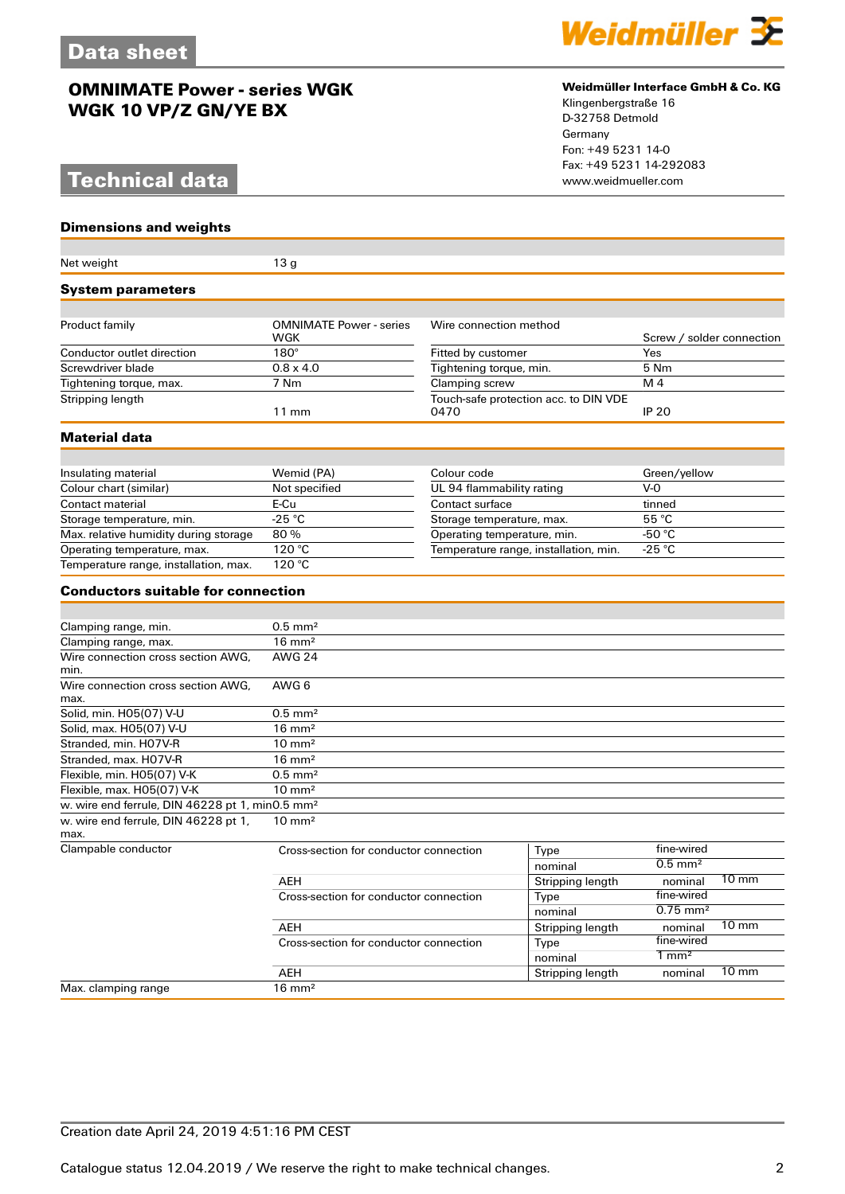# **Technical data** www.weidmueller.com

#### **Dimensions and weights**

#### Net weight 13 g **System parameters** Product family **COMNIMATE Power - series** WGK Wire connection method Screw / solder connection Conductor outlet direction 180° Fitted by customer Yes<br>
Screwdriver blade 0.8 x 4.0<br>
Fightening torque, min. 5 Nm Screwdriver blade 0.8 x 4.0 Tightening torque, min. 5 Nm Tightening torque, max. **Stripping length** 11 mm Touch-safe protection acc. to DIN VDE<br>0470 0470 **IP 20 Material data** Insulating material Wemid (PA) Colour code Green/yellow<br>
Colour chart (similar) Not specified UL 94 flammability rating V-0 Colour chart (similar) Not specified UL 94 flammability rating Contact material E-Cu E-Cu Contact surface tinned<br>Storage temperature, min. 25 °C Contact surface 55 °C Storage temperature, min.  $-25 \text{ °C}$ <br>
Max. relative humidity during storage 80 %<br>  $\overline{36} \text{ °C}$ <br>
Storage temperature, max.  $55 \text{ °C}$ <br>
Operating temperature, min.  $-50 \text{ °C}$ Max. relative humidity during storage 80 % Operating temperature, min. 450 °C<br>
Operating temperature, max. 120 °C<br>
Temperature range, installation, min. 425 °C Operature range, installation, min. Temperature range, installation, min. -25 °C Temperature range, installation, max. **Conductors suitable for connection** Clamping range, min. 6.5 mm<sup>2</sup> Clamping range, max. 16 mm<sup>2</sup> Wire connection cross section AWG, min. AWG 24 Wire connection cross section AWG, max. AWG 6 Solid, min. H05(07) V-U 0.5 mm<sup>2</sup> Solid, max. H05(07) V-U 16 mm<sup>2</sup> Stranded, min. H07V-R 10 mm<sup>2</sup> Stranded, max. H07V-R 16 mm<sup>2</sup> Flexible, min.  $H05(07)$  V-K  $0.5$  mm<sup>2</sup> Flexible, max.  $H05(07)$  V-K 10 mm<sup>2</sup> w. wire end ferrule, DIN 46228 pt 1, min0.5 mm² w. wire end ferrule, DIN 46228 pt 1, max.<br>Clampable conductor 10 mm² Cross-section for conductor connection  $\overline{Type}$  fine-wired fine-wired for conductor connection  $\overline{O.5}$  mm<sup>2</sup> nominal AEH Stripping length nominal 10 mm<br>Cross-section for conductor connection Type fine-wired Cross-section for conductor connection Type fine-wired<br>nominal 0.75 mm<sup>2</sup> nominal AEH Stripping length nominal 10 mm Cross-section for conductor connection<br>
Type  $\frac{1}{2}$ Type  $\frac{1}{2}$ Type  $\frac{1}{2}$ Type  $\frac{1}{2}$ Type  $\frac{1}{2}$ nominal 1 mm<sup>2</sup><br>Stripping length nominal AEH Stripping length nominal 10 mm Max. clamping range 16 mm<sup>2</sup>



## **Weidmüller Interface GmbH & Co. KG**

Klingenbergstraße 16 D-32758 Detmold Germany Fon: +49 5231 14-0 Fax: +49 5231 14-292083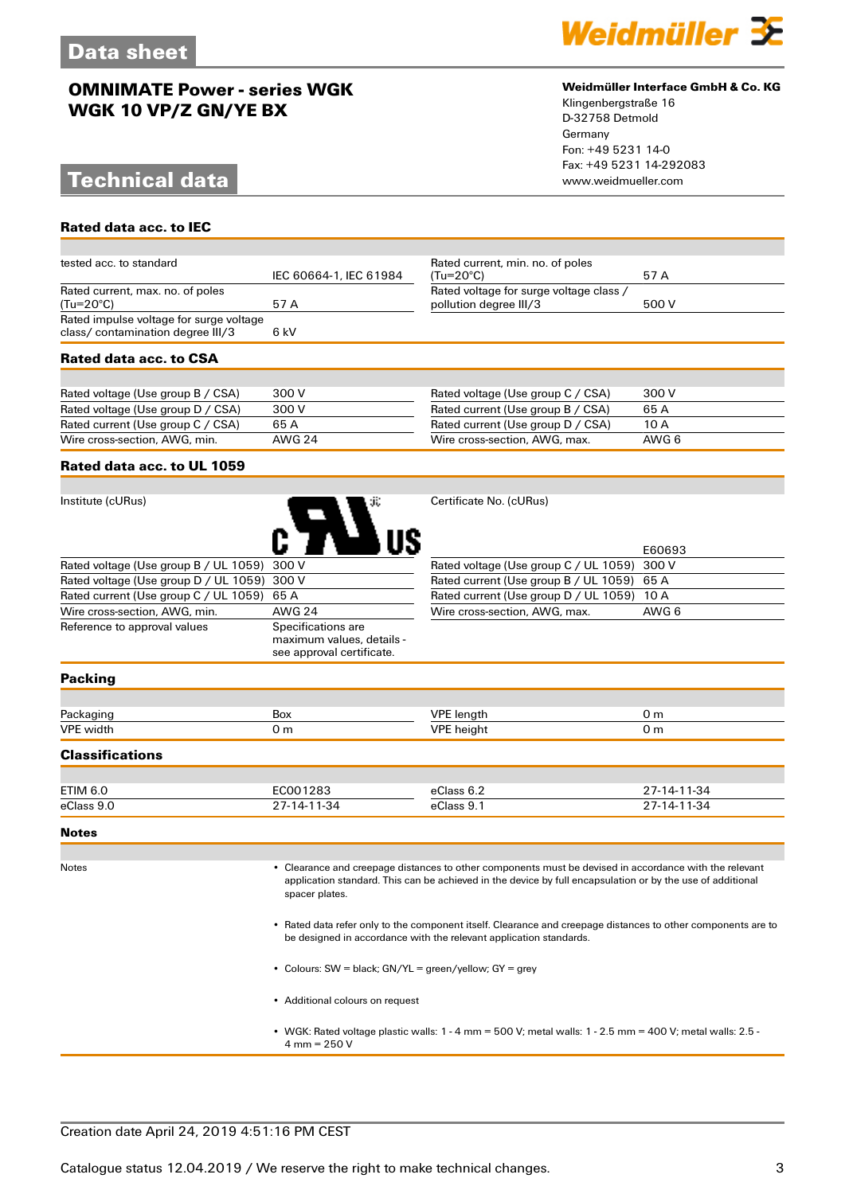# **Technical data www.weidmueller.com**

**Rated data acc. to IEC**



#### **Weidmüller Interface GmbH & Co. KG**

Klingenbergstraße 16 D-32758 Detmold Germany Fon: +49 5231 14-0 Fax: +49 5231 14-292083

| Rated data acc. to CSA                                                       |                        |                                                                   |       |  |
|------------------------------------------------------------------------------|------------------------|-------------------------------------------------------------------|-------|--|
| Rated impulse voltage for surge voltage<br>class/ contamination degree III/3 | 6 kV                   |                                                                   |       |  |
| Rated current, max. no. of poles<br>(Tu=20°C)                                | 57 A                   | Rated voltage for surge voltage class /<br>pollution degree III/3 | 500 V |  |
| tested acc. to standard                                                      | IEC 60664-1, IEC 61984 | Rated current, min. no. of poles<br>$(Tu=20^{\circ}C)$            | 57 A  |  |

| Rated voltage (Use group B / CSA) | 300 V  | Rated voltage (Use group C / CSA) | 300 V |
|-----------------------------------|--------|-----------------------------------|-------|
| Rated voltage (Use group D / CSA) | 300 V  | Rated current (Use group B / CSA) | 65 A  |
| Rated current (Use group C / CSA) | 65 A   | Rated current (Use group D / CSA) | 10 A  |
| Wire cross-section, AWG, min.     | AWG 24 | Wire cross-section, AWG, max.     | AWG 6 |

### **Rated data acc. to UL 1059**

| Institute (cURus)                           | зï.                | Certificate No. (cURus) |
|---------------------------------------------|--------------------|-------------------------|
| Rated voltage (Use group B / UL 1059) 300 V |                    | Rated voltage (Use gro  |
| Rated voltage (Use group D / UL 1059) 300 V |                    | Rated current (Use gro  |
| Rated current (Use group C / UL 1059)       | 65 A               | Rated current (Use gro  |
| Wire cross-section, AWG, min.               | <b>AWG 24</b>      | Wire cross-section, AV  |
| Reference to approval values                | Specifications are |                         |

maximum values, details see approval certificate.

|                                             | E60693 |
|---------------------------------------------|--------|
| Rated voltage (Use group C / UL 1059) 300 V |        |
| Rated current (Use group B / UL 1059) 65 A  |        |
| Rated current (Use group D / UL 1059) 10 A  |        |
| Wire cross-section, AWG, max.               | AWG 6  |

#### **Packing**

| <b>Packac</b><br>−− ∙ ∾ະ | Box | IDE<br>a lenction and the set of the set of the set of the set of the set of the set of the set of the set of the set of the set of the set of the set of the set of the set of the set of the set of the set of the set of the set o |  |
|--------------------------|-----|---------------------------------------------------------------------------------------------------------------------------------------------------------------------------------------------------------------------------------------|--|
| <b>VPE</b> width         | , m | <b>VPE</b> height                                                                                                                                                                                                                     |  |
|                          |     |                                                                                                                                                                                                                                       |  |

### **Classifications**

| ETIM 6.0   | EC001283    | eClass 6.2 | 27-14-11-34 |
|------------|-------------|------------|-------------|
| eClass 9.0 | 27-14-11-34 | eClass 9.1 | 27-14-11-34 |

#### **Notes**

Notes • Clearance and creepage distances to other components must be devised in accordance with the relevant application standard. This can be achieved in the device by full encapsulation or by the use of additional spacer plates.

> • Rated data refer only to the component itself. Clearance and creepage distances to other components are to be designed in accordance with the relevant application standards.

- Colours: SW = black; GN/YL = green/yellow; GY = grey
- Additional colours on request
- WGK: Rated voltage plastic walls: 1 4 mm = 500 V; metal walls: 1 2.5 mm = 400 V; metal walls: 2.5 4 mm =  $250 V$

### Creation date April 24, 2019 4:51:16 PM CEST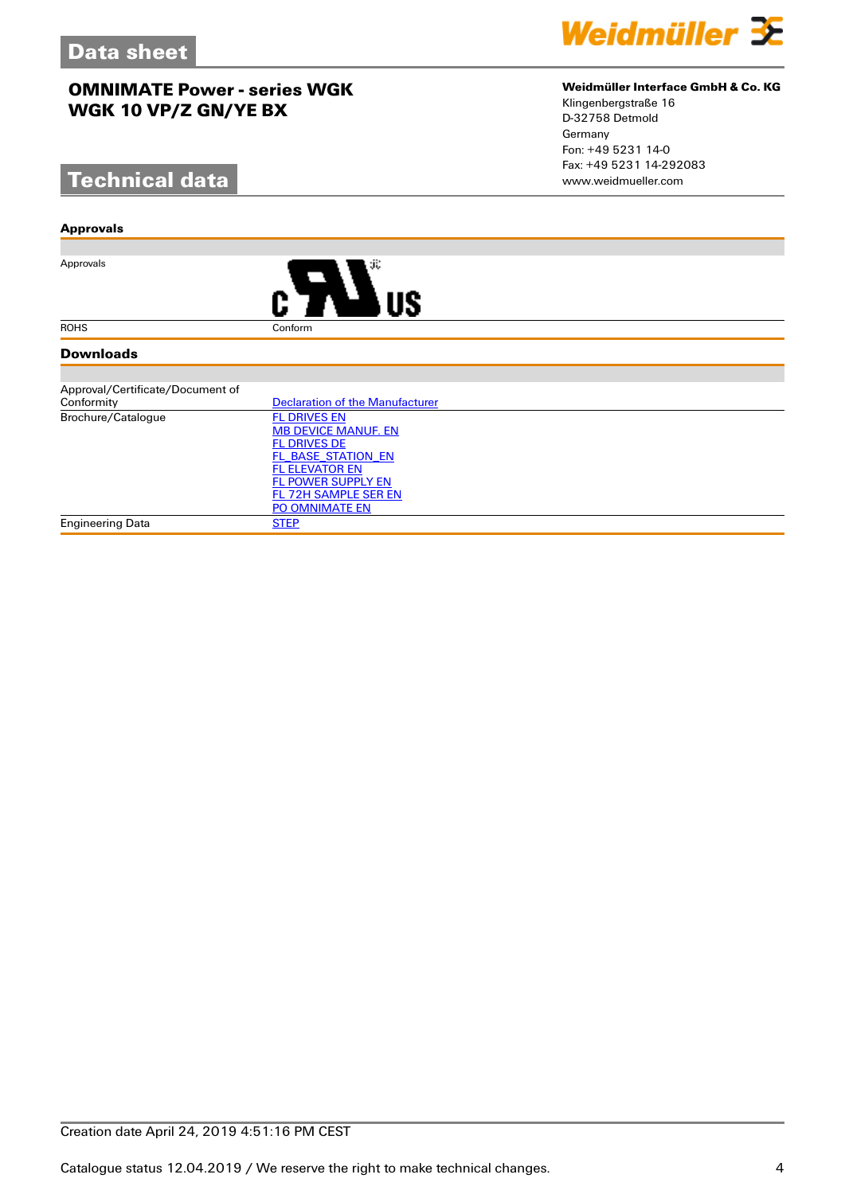# **Technical data**

#### **Approvals**

Approvals



#### **Downloads**

| Approval/Certificate/Document of |                                 |  |  |
|----------------------------------|---------------------------------|--|--|
| Conformity                       | Declaration of the Manufacturer |  |  |
| Brochure/Catalogue               | <b>FL DRIVES EN</b>             |  |  |
|                                  | <b>MB DEVICE MANUF. EN</b>      |  |  |
|                                  | <b>FL DRIVES DE</b>             |  |  |
|                                  | FL BASE STATION EN              |  |  |
|                                  | <b>FL ELEVATOR EN</b>           |  |  |
|                                  | <b>FL POWER SUPPLY EN</b>       |  |  |
|                                  | FL 72H SAMPLE SER EN            |  |  |
|                                  | <b>PO OMNIMATE EN</b>           |  |  |
| <b>Engineering Data</b>          | <b>STEP</b>                     |  |  |



## **Weidmüller Interface GmbH & Co. KG**

Klingenbergstraße 16 D-32758 Detmold Germany Fon: +49 5231 14-0 Fax: +49 5231 14-292083